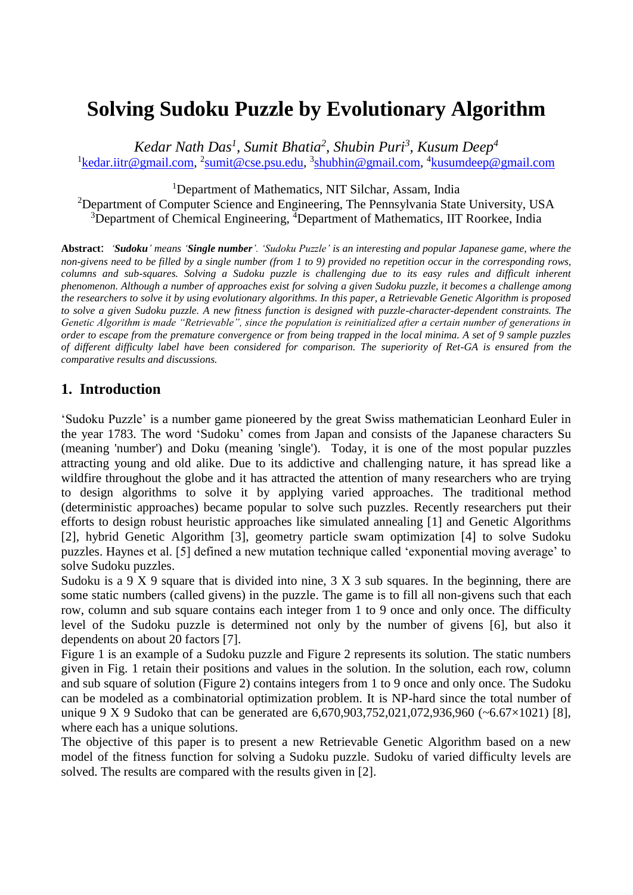# **Solving Sudoku Puzzle by Evolutionary Algorithm**

*Kedar Nath Das<sup>1</sup> , Sumit Bhatia<sup>2</sup> , Shubin Puri<sup>3</sup> , Kusum Deep<sup>4</sup>* <sup>1</sup>[kedar.iitr@gmail.com,](mailto:kedar.iitr@gmail.com) <sup>2</sup>[sumit@cse.psu.edu,](mailto:sumit@cse.psu.edu) <sup>3</sup>[shubhin@gmail.com,](mailto:shubhin@gmail.com) <sup>4</sup>[kusumdeep@gmail.com](mailto:kusumdeep@gmail.com)

<sup>1</sup>Department of Mathematics, NIT Silchar, Assam, India <sup>2</sup>Department of Computer Science and Engineering, The Pennsylvania State University, USA <sup>3</sup>Department of Chemical Engineering, <sup>4</sup>Department of Mathematics, IIT Roorkee, India

**Abstract**: *'Sudoku' means 'Single number'. 'Sudoku Puzzle' is an interesting and popular Japanese game, where the non-givens need to be filled by a single number (from 1 to 9) provided no repetition occur in the corresponding rows, columns and sub-squares. Solving a Sudoku puzzle is challenging due to its easy rules and difficult inherent phenomenon. Although a number of approaches exist for solving a given Sudoku puzzle, it becomes a challenge among the researchers to solve it by using evolutionary algorithms. In this paper, a Retrievable Genetic Algorithm is proposed to solve a given Sudoku puzzle. A new fitness function is designed with puzzle-character-dependent constraints. The Genetic Algorithm is made "Retrievable", since the population is reinitialized after a certain number of generations in order to escape from the premature convergence or from being trapped in the local minima. A set of 9 sample puzzles of different difficulty label have been considered for comparison. The superiority of Ret-GA is ensured from the comparative results and discussions.*

## **1. Introduction**

'Sudoku Puzzle' is a number game pioneered by the great Swiss mathematician Leonhard Euler in the year 1783. The word 'Sudoku' comes from Japan and consists of the Japanese characters Su (meaning 'number') and Doku (meaning 'single'). Today, it is one of the most popular puzzles attracting young and old alike. Due to its addictive and challenging nature, it has spread like a wildfire throughout the globe and it has attracted the attention of many researchers who are trying to design algorithms to solve it by applying varied approaches. The traditional method (deterministic approaches) became popular to solve such puzzles. Recently researchers put their efforts to design robust heuristic approaches like simulated annealing [1] and Genetic Algorithms [2], hybrid Genetic Algorithm [3], geometry particle swam optimization [4] to solve Sudoku puzzles. Haynes et al. [5] defined a new mutation technique called 'exponential moving average' to solve Sudoku puzzles.

Sudoku is a 9 X 9 square that is divided into nine,  $3 \times 3$  sub squares. In the beginning, there are some static numbers (called givens) in the puzzle. The game is to fill all non-givens such that each row, column and sub square contains each integer from 1 to 9 once and only once. The difficulty level of the Sudoku puzzle is determined not only by the number of givens [6], but also it dependents on about 20 factors [7].

Figure 1 is an example of a Sudoku puzzle and Figure 2 represents its solution. The static numbers given in Fig. 1 retain their positions and values in the solution. In the solution, each row, column and sub square of solution (Figure 2) contains integers from 1 to 9 once and only once. The Sudoku can be modeled as a combinatorial optimization problem. It is NP-hard since the total number of unique 9 X 9 Sudoko that can be generated are 6,670,903,752,021,072,936,960 (~6.67×1021) [8], where each has a unique solutions.

The objective of this paper is to present a new Retrievable Genetic Algorithm based on a new model of the fitness function for solving a Sudoku puzzle. Sudoku of varied difficulty levels are solved. The results are compared with the results given in [2].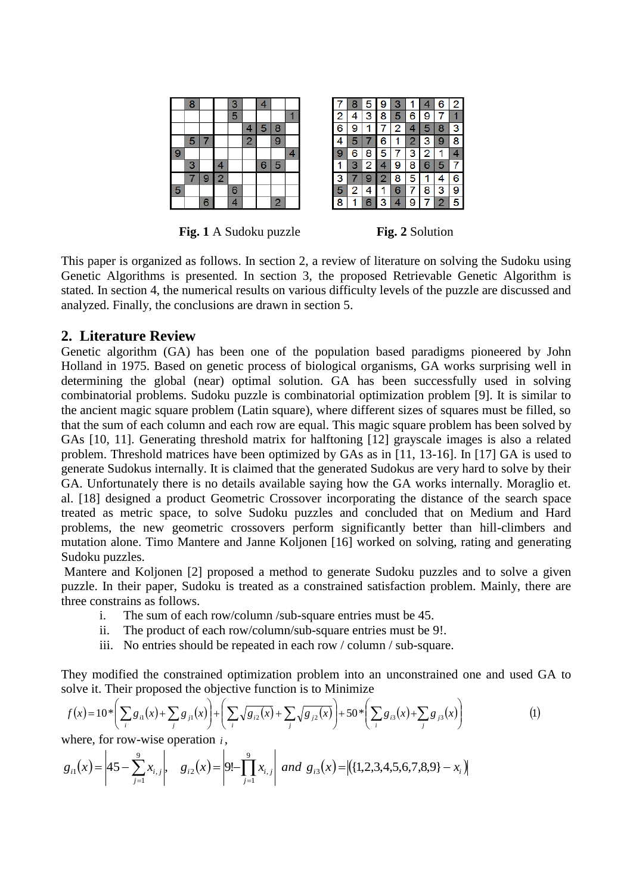|   | 8 |   |                | $\frac{3}{5}$ |                | 4              |                         |   |
|---|---|---|----------------|---------------|----------------|----------------|-------------------------|---|
|   |   |   |                |               |                |                |                         |   |
|   |   |   |                |               | 4              | 5              | 8                       |   |
|   | 5 |   |                |               | $\overline{2}$ |                | 9                       |   |
| 9 |   |   |                |               |                |                |                         | 4 |
|   | 3 |   | 4              |               |                | $\overline{6}$ | 5                       |   |
|   |   | 9 | $\overline{2}$ |               |                |                |                         |   |
| 5 |   |   |                | 6             |                |                |                         |   |
|   |   | 6 |                | 4             |                |                | $\overline{\mathbf{2}}$ |   |



**Fig. 1** A Sudoku puzzle **Fig. 2** Solution

This paper is organized as follows. In section 2, a review of literature on solving the Sudoku using Genetic Algorithms is presented. In section 3, the proposed Retrievable Genetic Algorithm is stated. In section 4, the numerical results on various difficulty levels of the puzzle are discussed and analyzed. Finally, the conclusions are drawn in section 5.

## **2. Literature Review**

Genetic algorithm (GA) has been one of the population based paradigms pioneered by John Holland in 1975. Based on genetic process of biological organisms, GA works surprising well in determining the global (near) optimal solution. GA has been successfully used in solving combinatorial problems. Sudoku puzzle is combinatorial optimization problem [9]. It is similar to the ancient magic square problem (Latin square), where different sizes of squares must be filled, so that the sum of each column and each row are equal. This magic square problem has been solved by GAs [10, 11]. Generating threshold matrix for halftoning [12] grayscale images is also a related problem. Threshold matrices have been optimized by GAs as in [11, 13-16]. In [17] GA is used to generate Sudokus internally. It is claimed that the generated Sudokus are very hard to solve by their GA. Unfortunately there is no details available saying how the GA works internally. Moraglio et. al. [18] designed a product Geometric Crossover incorporating the distance of the search space treated as metric space, to solve Sudoku puzzles and concluded that on Medium and Hard problems, the new geometric crossovers perform significantly better than hill-climbers and mutation alone. Timo Mantere and Janne Koljonen [16] worked on solving, rating and generating Sudoku puzzles.

Mantere and Koljonen [2] proposed a method to generate Sudoku puzzles and to solve a given puzzle. In their paper, Sudoku is treated as a constrained satisfaction problem. Mainly, there are three constrains as follows.

- i. The sum of each row/column /sub-square entries must be 45.
- ii. The product of each row/column/sub-square entries must be 9!.
- iii. No entries should be repeated in each row / column / sub-square.

They modified the constrained optimization problem into an unconstrained one and used GA to solve it. Their proposed the objective function is to Minimize

$$
f(x) = 10 \sqrt[*]{\sum_{i} g_{i1}(x) + \sum_{j} g_{j1}(x)} + \left(\sum_{i} \sqrt{g_{i2}(x)} + \sum_{j} \sqrt{g_{j2}(x)}\right) + 50 \sqrt[*]{\sum_{i} g_{i3}(x)} + \sum_{j} g_{j3}(x)
$$
 (1)

where, for row-wise operation *i* ,

$$
g_{i1}(x) = \left| 45 - \sum_{j=1}^{9} x_{i,j} \right|, \quad g_{i2}(x) = \left| 9! - \prod_{j=1}^{9} x_{i,j} \right| \text{ and } g_{i3}(x) = \left| \left( \{1, 2, 3, 4, 5, 6, 7, 8, 9 \} - x_i \right) \right|
$$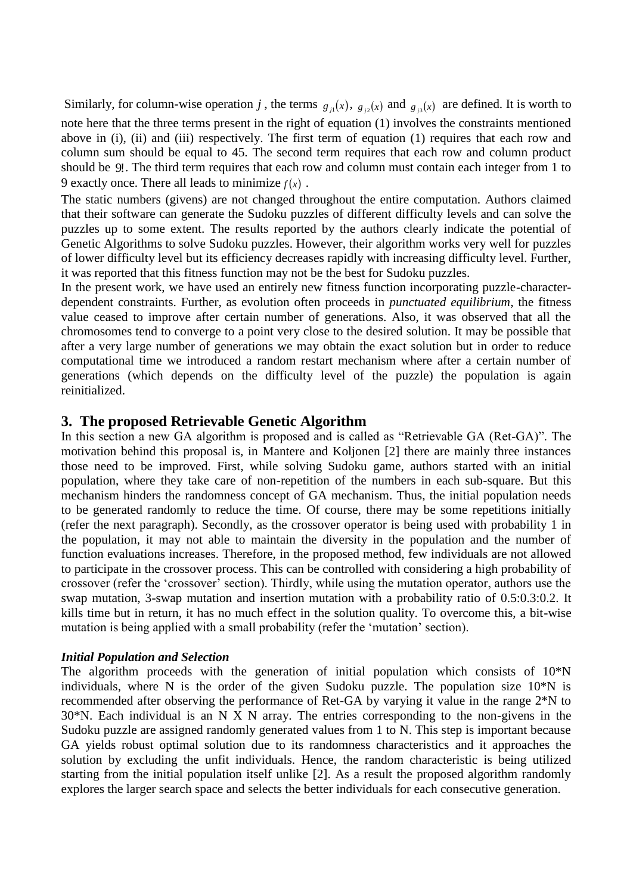Similarly, for column-wise operation *j*, the terms  $g_{i}(x)$ ,  $g_{i}(x)$  and  $g_{i}(x)$  are defined. It is worth to note here that the three terms present in the right of equation (1) involves the constraints mentioned above in (i), (ii) and (iii) respectively. The first term of equation (1) requires that each row and column sum should be equal to 45. The second term requires that each row and column product should be 9! . The third term requires that each row and column must contain each integer from 1 to 9 exactly once. There all leads to minimize  $f(x)$ .

The static numbers (givens) are not changed throughout the entire computation. Authors claimed that their software can generate the Sudoku puzzles of different difficulty levels and can solve the puzzles up to some extent. The results reported by the authors clearly indicate the potential of Genetic Algorithms to solve Sudoku puzzles. However, their algorithm works very well for puzzles of lower difficulty level but its efficiency decreases rapidly with increasing difficulty level. Further, it was reported that this fitness function may not be the best for Sudoku puzzles.

In the present work, we have used an entirely new fitness function incorporating puzzle-characterdependent constraints. Further, as evolution often proceeds in *punctuated equilibrium*, the fitness value ceased to improve after certain number of generations. Also, it was observed that all the chromosomes tend to converge to a point very close to the desired solution. It may be possible that after a very large number of generations we may obtain the exact solution but in order to reduce computational time we introduced a random restart mechanism where after a certain number of generations (which depends on the difficulty level of the puzzle) the population is again reinitialized.

### **3. The proposed Retrievable Genetic Algorithm**

In this section a new GA algorithm is proposed and is called as "Retrievable GA (Ret-GA)". The motivation behind this proposal is, in Mantere and Koljonen [2] there are mainly three instances those need to be improved. First, while solving Sudoku game, authors started with an initial population, where they take care of non-repetition of the numbers in each sub-square. But this mechanism hinders the randomness concept of GA mechanism. Thus, the initial population needs to be generated randomly to reduce the time. Of course, there may be some repetitions initially (refer the next paragraph). Secondly, as the crossover operator is being used with probability 1 in the population, it may not able to maintain the diversity in the population and the number of function evaluations increases. Therefore, in the proposed method, few individuals are not allowed to participate in the crossover process. This can be controlled with considering a high probability of crossover (refer the 'crossover' section). Thirdly, while using the mutation operator, authors use the swap mutation, 3-swap mutation and insertion mutation with a probability ratio of 0.5:0.3:0.2. It kills time but in return, it has no much effect in the solution quality. To overcome this, a bit-wise mutation is being applied with a small probability (refer the 'mutation' section).

#### *Initial Population and Selection*

The algorithm proceeds with the generation of initial population which consists of 10\*N individuals, where N is the order of the given Sudoku puzzle. The population size 10\*N is recommended after observing the performance of Ret-GA by varying it value in the range 2\*N to 30\*N. Each individual is an N X N array. The entries corresponding to the non-givens in the Sudoku puzzle are assigned randomly generated values from 1 to N. This step is important because GA yields robust optimal solution due to its randomness characteristics and it approaches the solution by excluding the unfit individuals. Hence, the random characteristic is being utilized starting from the initial population itself unlike [2]. As a result the proposed algorithm randomly explores the larger search space and selects the better individuals for each consecutive generation.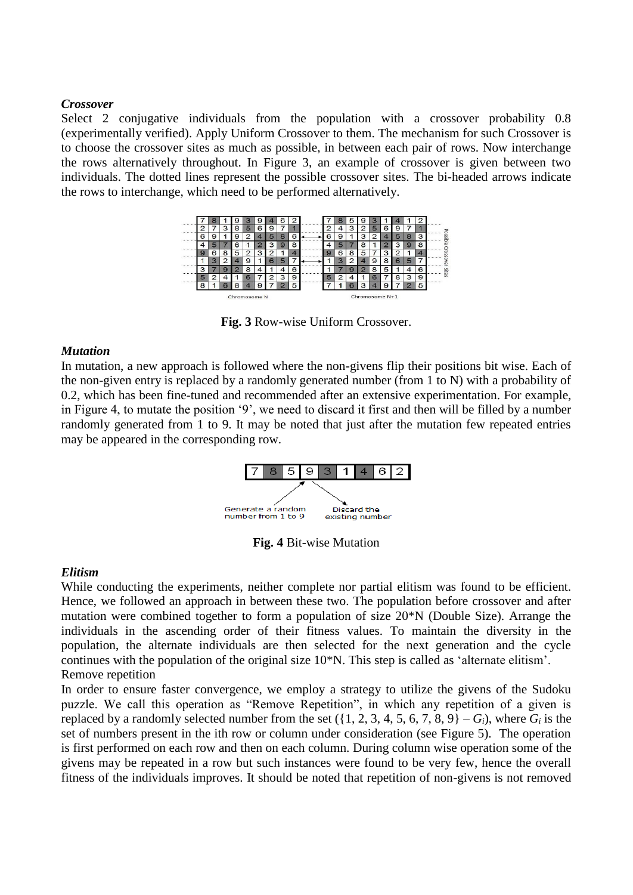#### *Crossover*

Select 2 conjugative individuals from the population with a crossover probability 0.8 (experimentally verified). Apply Uniform Crossover to them. The mechanism for such Crossover is to choose the crossover sites as much as possible, in between each pair of rows. Now interchange the rows alternatively throughout. In Figure 3, an example of crossover is given between two individuals. The dotted lines represent the possible crossover sites. The bi-headed arrows indicate the rows to interchange, which need to be performed alternatively.



**Fig. 3** Row-wise Uniform Crossover.

#### *Mutation*

In mutation, a new approach is followed where the non-givens flip their positions bit wise. Each of the non-given entry is replaced by a randomly generated number (from 1 to N) with a probability of 0.2, which has been fine-tuned and recommended after an extensive experimentation. For example, in Figure 4, to mutate the position '9', we need to discard it first and then will be filled by a number randomly generated from 1 to 9. It may be noted that just after the mutation few repeated entries may be appeared in the corresponding row.



**Fig. 4** Bit-wise Mutation

#### *Elitism*

While conducting the experiments, neither complete nor partial elitism was found to be efficient. Hence, we followed an approach in between these two. The population before crossover and after mutation were combined together to form a population of size 20\*N (Double Size). Arrange the individuals in the ascending order of their fitness values. To maintain the diversity in the population, the alternate individuals are then selected for the next generation and the cycle continues with the population of the original size 10\*N. This step is called as 'alternate elitism'. Remove repetition

In order to ensure faster convergence, we employ a strategy to utilize the givens of the Sudoku puzzle. We call this operation as "Remove Repetition", in which any repetition of a given is replaced by a randomly selected number from the set  $({1, 2, 3, 4, 5, 6, 7, 8, 9} - G_i)$ , where  $G_i$  is the set of numbers present in the ith row or column under consideration (see Figure 5). The operation is first performed on each row and then on each column. During column wise operation some of the givens may be repeated in a row but such instances were found to be very few, hence the overall fitness of the individuals improves. It should be noted that repetition of non-givens is not removed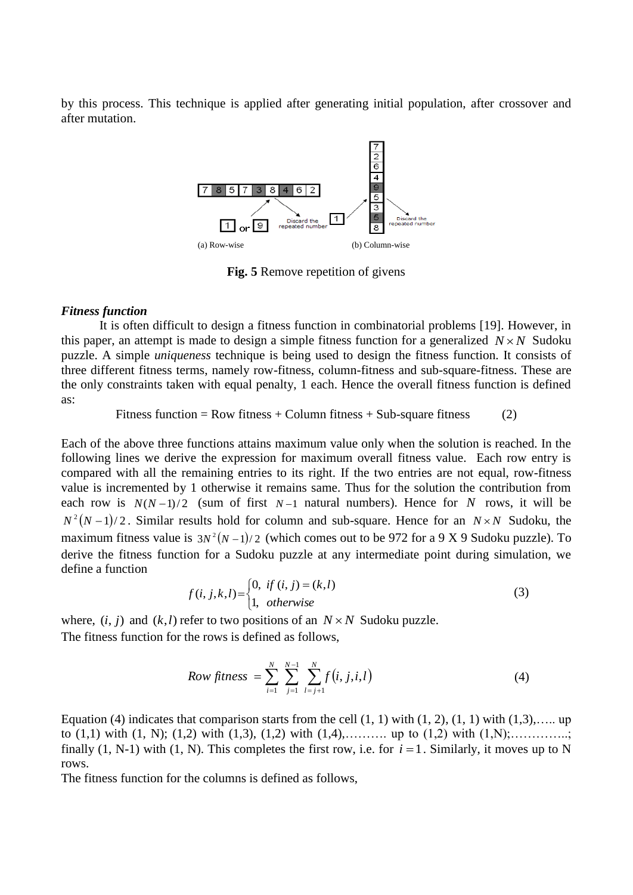by this process. This technique is applied after generating initial population, after crossover and after mutation.



**Fig. 5** Remove repetition of givens

#### *Fitness function*

It is often difficult to design a fitness function in combinatorial problems [19]. However, in this paper, an attempt is made to design a simple fitness function for a generalized  $N \times N$  Sudoku puzzle. A simple *uniqueness* technique is being used to design the fitness function. It consists of three different fitness terms, namely row-fitness, column-fitness and sub-square-fitness. These are the only constraints taken with equal penalty, 1 each. Hence the overall fitness function is defined as:

Fitness function = Row fitness + Column fitness + Sub-square fitness (2)

Each of the above three functions attains maximum value only when the solution is reached. In the following lines we derive the expression for maximum overall fitness value. Each row entry is compared with all the remaining entries to its right. If the two entries are not equal, row-fitness value is incremented by 1 otherwise it remains same. Thus for the solution the contribution from each row is  $N(N-1)/2$  (sum of first  $N-1$  natural numbers). Hence for N rows, it will be  $N^2(N-1)/2$ . Similar results hold for column and sub-square. Hence for an  $N \times N$  Sudoku, the maximum fitness value is  $3N^2(N-1)/2$  (which comes out to be 972 for a 9 X 9 Sudoku puzzle). To derive the fitness function for a Sudoku puzzle at any intermediate point during simulation, we define a function

$$
f(i, j, k, l) = \begin{cases} 0, & \text{if } (i, j) = (k, l) \\ 1, & \text{otherwise} \end{cases}
$$
 (3)

where,  $(i, j)$  and  $(k, l)$  refer to two positions of an  $N \times N$  Sudoku puzzle. The fitness function for the rows is defined as follows,

Row fitness = 
$$
\sum_{i=1}^{N} \sum_{j=1}^{N-1} \sum_{l=j+1}^{N} f(i, j, i, l)
$$
 (4)

Equation (4) indicates that comparison starts from the cell  $(1, 1)$  with  $(1, 2)$ ,  $(1, 1)$  with  $(1, 3)$ ,..... up to (1,1) with (1, N); (1,2) with (1,3), (1,2) with (1,4),………. up to (1,2) with (1,N);…………..; finally  $(1, N-1)$  with  $(1, N)$ . This completes the first row, i.e. for  $i = 1$ . Similarly, it moves up to N rows.

The fitness function for the columns is defined as follows,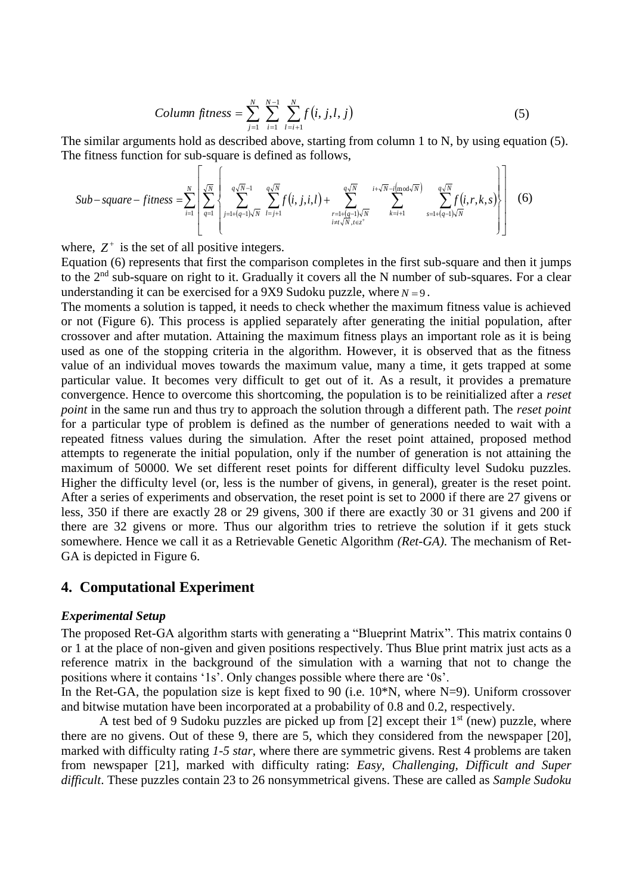Column fitness = 
$$
\sum_{j=1}^{N} \sum_{i=1}^{N-1} \sum_{l=i+1}^{N} f(i, j, l, j)
$$
 (5)

The similar arguments hold as described above, starting from column 1 to N, by using equation (5). The fitness function for sub-square is defined as follows,  $\sqrt{7}$  $\mathsf{r}$ 

$$
Sub-square - fitness = \sum_{i=1}^{N} \left[ \sum_{q=1}^{\sqrt{N}} \left\{ \sum_{j=1+(q-1)\sqrt{N}}^{q\sqrt{N}-1} \sum_{l=j+1}^{q\sqrt{N}} f(i, j, i, l) + \sum_{\substack{r=1+(q-1)\sqrt{N}\\i \neq l \sqrt{N}, t \in z^{+}}}^{q\sqrt{N}} \sum_{k=i+1}^{i+\sqrt{N}-i \pmod{\sqrt{N}}} \sum_{s=1+(q-1)\sqrt{N}}^{q\sqrt{N}} f(i, r, k, s) \right] \right]
$$
(6)

where,  $Z^+$  is the set of all positive integers.

Equation (6) represents that first the comparison completes in the first sub-square and then it jumps to the 2<sup>nd</sup> sub-square on right to it. Gradually it covers all the N number of sub-squares. For a clear understanding it can be exercised for a 9X9 Sudoku puzzle, where  $N = 9$ .

The moments a solution is tapped, it needs to check whether the maximum fitness value is achieved or not (Figure 6). This process is applied separately after generating the initial population, after crossover and after mutation. Attaining the maximum fitness plays an important role as it is being used as one of the stopping criteria in the algorithm. However, it is observed that as the fitness value of an individual moves towards the maximum value, many a time, it gets trapped at some particular value. It becomes very difficult to get out of it. As a result, it provides a premature convergence. Hence to overcome this shortcoming, the population is to be reinitialized after a *reset point* in the same run and thus try to approach the solution through a different path. The *reset point* for a particular type of problem is defined as the number of generations needed to wait with a repeated fitness values during the simulation. After the reset point attained, proposed method attempts to regenerate the initial population, only if the number of generation is not attaining the maximum of 50000. We set different reset points for different difficulty level Sudoku puzzles. Higher the difficulty level (or, less is the number of givens, in general), greater is the reset point. After a series of experiments and observation, the reset point is set to 2000 if there are 27 givens or less, 350 if there are exactly 28 or 29 givens, 300 if there are exactly 30 or 31 givens and 200 if there are 32 givens or more. Thus our algorithm tries to retrieve the solution if it gets stuck somewhere. Hence we call it as a Retrievable Genetic Algorithm *(Ret-GA)*. The mechanism of Ret-GA is depicted in Figure 6.

#### **4. Computational Experiment**

#### *Experimental Setup*

The proposed Ret-GA algorithm starts with generating a "Blueprint Matrix". This matrix contains 0 or 1 at the place of non-given and given positions respectively. Thus Blue print matrix just acts as a reference matrix in the background of the simulation with a warning that not to change the positions where it contains '1s'. Only changes possible where there are '0s'.

In the Ret-GA, the population size is kept fixed to 90 (i.e.  $10^*N$ , where N=9). Uniform crossover and bitwise mutation have been incorporated at a probability of 0.8 and 0.2, respectively.

A test bed of 9 Sudoku puzzles are picked up from  $[2]$  except their  $1<sup>st</sup>$  (new) puzzle, where there are no givens. Out of these 9, there are 5, which they considered from the newspaper [20], marked with difficulty rating *1-5 star*, where there are symmetric givens. Rest 4 problems are taken from newspaper [21], marked with difficulty rating: *Easy, Challenging, Difficult and Super difficult*. These puzzles contain 23 to 26 nonsymmetrical givens. These are called as *Sample Sudoku*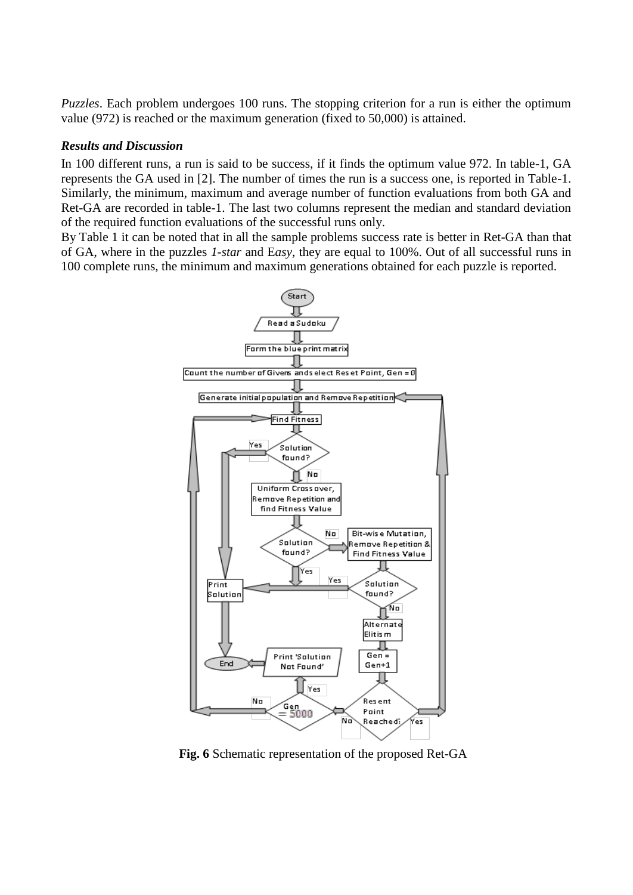*Puzzles*. Each problem undergoes 100 runs. The stopping criterion for a run is either the optimum value (972) is reached or the maximum generation (fixed to 50,000) is attained.

#### *Results and Discussion*

In 100 different runs, a run is said to be success, if it finds the optimum value 972. In table-1, GA represents the GA used in [2]. The number of times the run is a success one, is reported in Table-1. Similarly, the minimum, maximum and average number of function evaluations from both GA and Ret-GA are recorded in table-1. The last two columns represent the median and standard deviation of the required function evaluations of the successful runs only.

By Table 1 it can be noted that in all the sample problems success rate is better in Ret-GA than that of GA, where in the puzzles *1-star* and E*asy*, they are equal to 100%. Out of all successful runs in 100 complete runs, the minimum and maximum generations obtained for each puzzle is reported.



**Fig. 6** Schematic representation of the proposed Ret-GA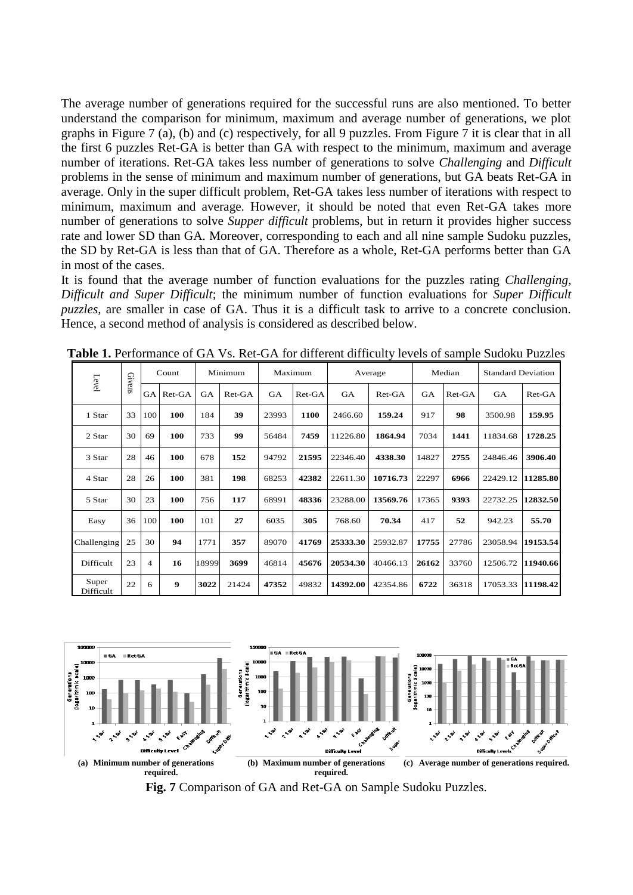The average number of generations required for the successful runs are also mentioned. To better understand the comparison for minimum, maximum and average number of generations, we plot graphs in Figure 7 (a), (b) and (c) respectively, for all 9 puzzles. From Figure 7 it is clear that in all the first 6 puzzles Ret-GA is better than GA with respect to the minimum, maximum and average number of iterations. Ret-GA takes less number of generations to solve *Challenging* and *Difficult* problems in the sense of minimum and maximum number of generations, but GA beats Ret-GA in average. Only in the super difficult problem, Ret-GA takes less number of iterations with respect to minimum, maximum and average. However, it should be noted that even Ret-GA takes more number of generations to solve *Supper difficult* problems, but in return it provides higher success rate and lower SD than GA. Moreover, corresponding to each and all nine sample Sudoku puzzles, the SD by Ret-GA is less than that of GA. Therefore as a whole, Ret-GA performs better than GA in most of the cases.

It is found that the average number of function evaluations for the puzzles rating *Challenging, Difficult and Super Difficult*; the minimum number of function evaluations for *Super Difficult puzzles*, are smaller in case of GA. Thus it is a difficult task to arrive to a concrete conclusion. Hence, a second method of analysis is considered as described below.

| Level              | Givens | Count          |          | Minimum   |          | Maximum   |          | Average   |          | Median |        | <b>Standard Deviation</b> |          |
|--------------------|--------|----------------|----------|-----------|----------|-----------|----------|-----------|----------|--------|--------|---------------------------|----------|
|                    |        | <b>GA</b>      | $Ret-GA$ | <b>GA</b> | $Ret-GA$ | <b>GA</b> | $Ret-GA$ | <b>GA</b> | $Ret-GA$ | GA     | Ret-GA | <b>GA</b>                 | $Ret-GA$ |
| 1 Star             | 33     | 100            | 100      | 184       | 39       | 23993     | 1100     | 2466.60   | 159.24   | 917    | 98     | 3500.98                   | 159.95   |
| 2 Star             | 30     | 69             | 100      | 733       | 99       | 56484     | 7459     | 11226.80  | 1864.94  | 7034   | 1441   | 11834.68                  | 1728.25  |
| 3 Star             | 28     | 46             | 100      | 678       | 152      | 94792     | 21595    | 22346.40  | 4338.30  | 14827  | 2755   | 24846.46                  | 3906.40  |
| 4 Star             | 28     | 26             | 100      | 381       | 198      | 68253     | 42382    | 22611.30  | 10716.73 | 22297  | 6966   | 22429.12                  | 11285.80 |
| 5 Star             | 30     | 23             | 100      | 756       | 117      | 68991     | 48336    | 23288.00  | 13569.76 | 17365  | 9393   | 22732.25                  | 12832.50 |
| Easy               | 36     | 100            | 100      | 101       | 27       | 6035      | 305      | 768.60    | 70.34    | 417    | 52     | 942.23                    | 55.70    |
| Challenging        | 25     | 30             | 94       | 1771      | 357      | 89070     | 41769    | 25333.30  | 25932.87 | 17755  | 27786  | 23058.94                  | 19153.54 |
| Difficult          | 23     | $\overline{4}$ | 16       | 18999     | 3699     | 46814     | 45676    | 20534.30  | 40466.13 | 26162  | 33760  | 12506.72                  | 11940.66 |
| Super<br>Difficult | 22     | 6              | 9        | 3022      | 21424    | 47352     | 49832    | 14392.00  | 42354.86 | 6722   | 36318  | 17053.33                  | 11198.42 |

**Table 1.** Performance of GA Vs. Ret-GA for different difficulty levels of sample Sudoku Puzzles

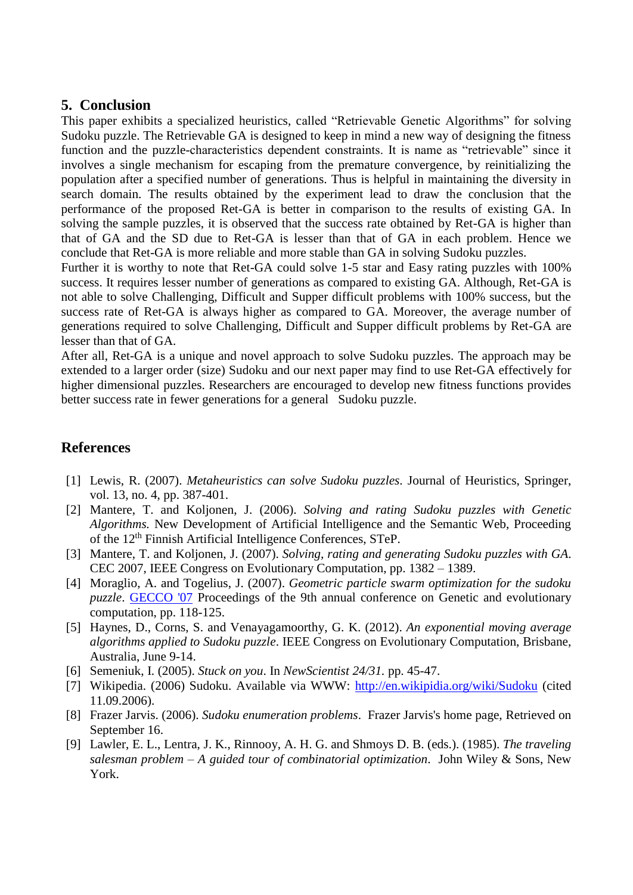## **5. Conclusion**

This paper exhibits a specialized heuristics, called "Retrievable Genetic Algorithms" for solving Sudoku puzzle. The Retrievable GA is designed to keep in mind a new way of designing the fitness function and the puzzle-characteristics dependent constraints. It is name as "retrievable" since it involves a single mechanism for escaping from the premature convergence, by reinitializing the population after a specified number of generations. Thus is helpful in maintaining the diversity in search domain. The results obtained by the experiment lead to draw the conclusion that the performance of the proposed Ret-GA is better in comparison to the results of existing GA. In solving the sample puzzles, it is observed that the success rate obtained by Ret-GA is higher than that of GA and the SD due to Ret-GA is lesser than that of GA in each problem. Hence we conclude that Ret-GA is more reliable and more stable than GA in solving Sudoku puzzles.

Further it is worthy to note that Ret-GA could solve 1-5 star and Easy rating puzzles with 100% success. It requires lesser number of generations as compared to existing GA. Although, Ret-GA is not able to solve Challenging, Difficult and Supper difficult problems with 100% success, but the success rate of Ret-GA is always higher as compared to GA. Moreover, the average number of generations required to solve Challenging, Difficult and Supper difficult problems by Ret-GA are lesser than that of GA.

After all, Ret-GA is a unique and novel approach to solve Sudoku puzzles. The approach may be extended to a larger order (size) Sudoku and our next paper may find to use Ret-GA effectively for higher dimensional puzzles. Researchers are encouraged to develop new fitness functions provides better success rate in fewer generations for a general Sudoku puzzle.

# **References**

- [1] Lewis, R. (2007). *[Metaheuristics can solve Sudoku puzzles.](http://www.cardiff.ac.uk/carbs/quant/rhyd/META_CAN_SOLVE_SUDOKU.pdf)* Journal of Heuristics, Springer, vol. 13, no. 4, pp. 387-401.
- [2] Mantere, T. and Koljonen, J. (2006). *Solving and rating Sudoku puzzles with Genetic Algorithms.* New Development of Artificial Intelligence and the Semantic Web, Proceeding of the 12th Finnish Artificial Intelligence Conferences, STeP.
- [3] Mantere, T. and Koljonen, J. (2007). *Solving, rating and generating Sudoku puzzles with GA*. CEC 2007, IEEE Congress on Evolutionary Computation, pp. 1382 – 1389.
- [4] Moraglio, A. and Togelius, J. (2007). *Geometric particle swarm optimization for the sudoku puzzle*. **[GECCO '07](http://www.sigevo.org/gecco-2007/index.html)** Proceedings of the 9th annual conference on Genetic and evolutionary computation, pp. 118-125.
- [5] Haynes, D., Corns, S. and Venayagamoorthy, G. K. (2012). *An exponential moving average algorithms applied to Sudoku puzzle*. IEEE Congress on Evolutionary Computation, Brisbane, Australia, June 9-14.
- [6] Semeniuk, I. (2005). *Stuck on you*. In *NewScientist 24/31.* pp. 45-47.
- [7] Wikipedia. (2006) Sudoku. Available via WWW:<http://en.wikipidia.org/wiki/Sudoku> (cited 11.09.2006).
- [8] Frazer Jarvis. (2006). *[Sudoku enumeration problems](http://www.afjarvis.staff.shef.ac.uk/sudoku/)*. Frazer Jarvis's home page, Retrieved on September 16.
- [9] Lawler, E. L., Lentra, J. K., Rinnooy, A. H. G. and Shmoys D. B. (eds.). (1985). *The traveling salesman problem – A guided tour of combinatorial optimization*. John Wiley & Sons, New York.